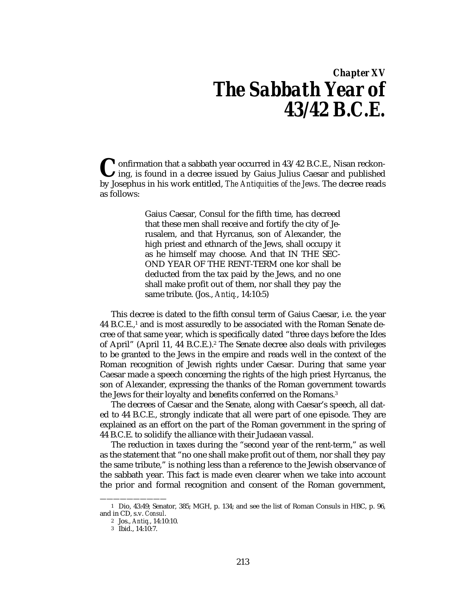## *Chapter XV The Sabbath Year of 43/42 B.C.E.*

onfirmation that a sabbath year occurred in 43/42 B.C.E., Nisan reckon- $\lambda$ ing, is found in a decree issued by Gaius Julius Caesar and published **C** onfirmation that a sabbath year occurred in 43/42 B.C.E., Nisan reckoning, is found in a decree issued by Gaius Julius Caesar and published by Josephus in his work entitled, *The Antiquities of the Jews*. The decree re as follows:

> Gaius Caesar, Consul for the fifth time, has decreed that these men shall receive and fortify the city of Jerusalem, and that Hyrcanus, son of Alexander, the high priest and ethnarch of the Jews, shall occupy it as he himself may choose. And that IN THE SEC-OND YEAR OF THE RENT-TERM one kor shall be deducted from the tax paid by the Jews, and no one shall make profit out of them, nor shall they pay the same tribute. (Jos., *Antiq.*, 14:10:5)

This decree is dated to the fifth consul term of Gaius Caesar, i.e. the year 44 B.C.E.,1 and is most assuredly to be associated with the Roman Senate decree of that same year, which is specifically dated "three days before the Ides of April" (April 11, 44 B.C.E.).<sup>2</sup> The Senate decree also deals with privileges to be granted to the Jews in the empire and reads well in the context of the Roman recognition of Jewish rights under Caesar. During that same year Caesar made a speech concerning the rights of the high priest Hyrcanus, the son of Alexander, expressing the thanks of the Roman government towards the Jews for their loyalty and benefits conferred on the Romans.3

The decrees of Caesar and the Senate, along with Caesar's speech, all dated to 44 B.C.E., strongly indicate that all were part of one episode. They are explained as an effort on the part of the Roman government in the spring of 44 B.C.E. to solidify the alliance with their Judaean vassal.

The reduction in taxes during the "second year of the rent-term," as well as the statement that "no one shall make profit out of them, nor shall they pay the same tribute," is nothing less than a reference to the Jewish observance of the sabbath year. This fact is made even clearer when we take into account the prior and formal recognition and consent of the Roman government,

——————————

<sup>1</sup> Dio, 43:49; Senator, 385; MGH, p. 134; and see the list of Roman Consuls in HBC, p. 96, and in CD, s.v. *Consul*.

<sup>2</sup> Jos., *Antiq.*, 14:10:10.

<sup>3</sup> Ibid., 14:10:7.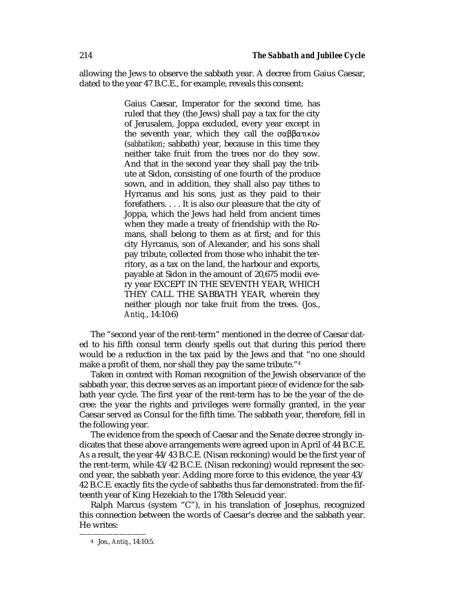allowing the Jews to observe the sabbath year. A decree from Gaius Caesar, dated to the year 47 B.C.E., for example, reveals this consent:

> Gaius Caesar, Imperator for the second time, has ruled that they (the Jews) shall pay a tax for the city of Jerusalem, Joppa excluded, every year except in the seventh year, which they call the σαββατικὸν (*sabbatikon*; sabbath) year, because in this time they neither take fruit from the trees nor do they sow. And that in the second year they shall pay the tribute at Sidon, consisting of one fourth of the produce sown, and in addition, they shall also pay tithes to Hyrcanus and his sons, just as they paid to their forefathers. . . . It is also our pleasure that the city of Joppa, which the Jews had held from ancient times when they made a treaty of friendship with the Romans, shall belong to them as at first; and for this city Hyrcanus, son of Alexander, and his sons shall pay tribute, collected from those who inhabit the territory, as a tax on the land, the harbour and exports, payable at Sidon in the amount of 20,675 modii every year EXCEPT IN THE SEVENTH YEAR, WHICH THEY CALL THE SABBATH YEAR, wherein they neither plough nor take fruit from the trees. (Jos., *Antiq.*, 14:10:6)

The "second year of the rent-term" mentioned in the decree of Caesar dated to his fifth consul term clearly spells out that during this period there would be a reduction in the tax paid by the Jews and that "no one should make a profit of them, nor shall they pay the same tribute."<sup>4</sup>

Taken in context with Roman recognition of the Jewish observance of the sabbath year, this decree serves as an important piece of evidence for the sabbath year cycle. The first year of the rent-term has to be the year of the decree: the year the rights and privileges were formally granted, in the year Caesar served as Consul for the fifth time. The sabbath year, therefore, fell in the following year.

The evidence from the speech of Caesar and the Senate decree strongly indicates that these above arrangements were agreed upon in April of 44 B.C.E. As a result, the year 44/43 B.C.E. (Nisan reckoning) would be the first year of the rent-term, while 43/42 B.C.E. (Nisan reckoning) would represent the second year, the sabbath year. Adding more force to this evidence, the year 43/ 42 B.C.E. exactly fits the cycle of sabbaths thus far demonstrated: from the fifteenth year of King Hezekiah to the 178th Seleucid year.

Ralph Marcus (system "C"), in his translation of Josephus, recognized this connection between the words of Caesar's decree and the sabbath year. He writes:

——————————

<sup>4</sup> Jos., *Antiq.*, 14:10:5.